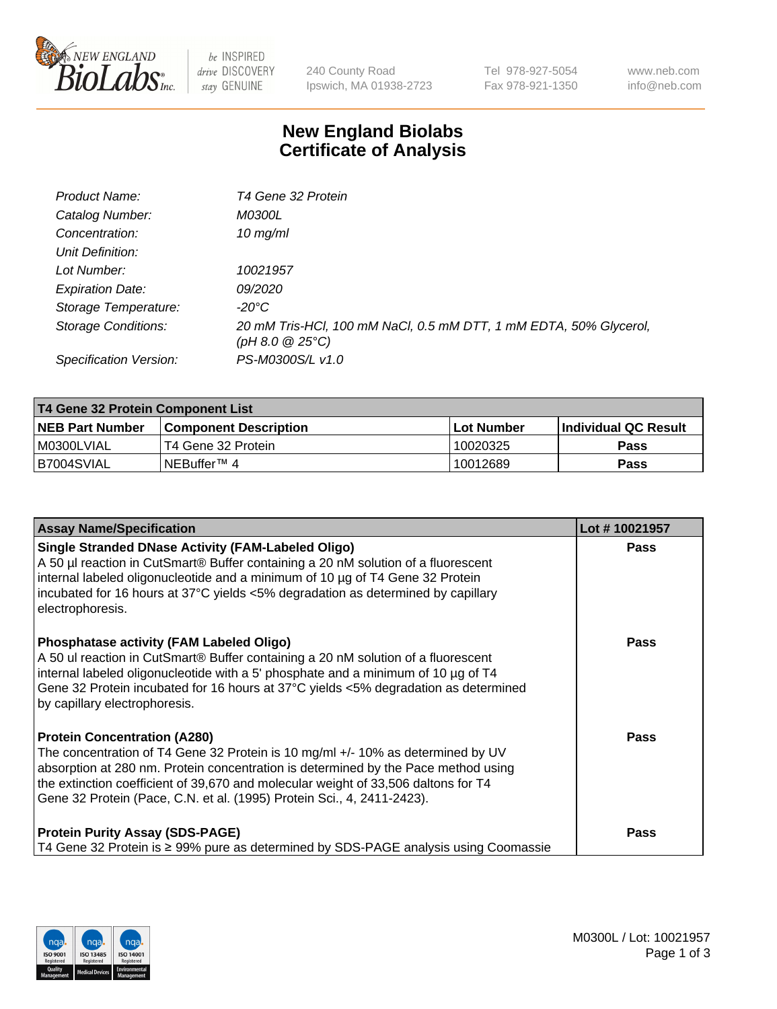

 $be$  INSPIRED drive DISCOVERY stay GENUINE

240 County Road Ipswich, MA 01938-2723 Tel 978-927-5054 Fax 978-921-1350 www.neb.com info@neb.com

## **New England Biolabs Certificate of Analysis**

| Product Name:           | T4 Gene 32 Protein                                                                     |
|-------------------------|----------------------------------------------------------------------------------------|
| Catalog Number:         | <i>M0300L</i>                                                                          |
| Concentration:          | 10 $mg/ml$                                                                             |
| Unit Definition:        |                                                                                        |
| Lot Number:             | 10021957                                                                               |
| <b>Expiration Date:</b> | <i>09/2020</i>                                                                         |
| Storage Temperature:    | -20°C                                                                                  |
| Storage Conditions:     | 20 mM Tris-HCl, 100 mM NaCl, 0.5 mM DTT, 1 mM EDTA, 50% Glycerol,<br>(pH 8.0 $@25°C$ ) |
| Specification Version:  | PS-M0300S/L v1.0                                                                       |

| T4 Gene 32 Protein Component List |                              |            |                             |  |  |
|-----------------------------------|------------------------------|------------|-----------------------------|--|--|
| <b>NEB Part Number</b>            | <b>Component Description</b> | Lot Number | <b>Individual QC Result</b> |  |  |
| I M0300LVIAL                      | T4 Gene 32 Protein           | 10020325   | <b>Pass</b>                 |  |  |
| B7004SVIAL                        | INEBuffer™ 4                 | 10012689   | Pass                        |  |  |

| <b>Assay Name/Specification</b>                                                                                                                                                                                                                                                                                                                                              | Lot #10021957 |
|------------------------------------------------------------------------------------------------------------------------------------------------------------------------------------------------------------------------------------------------------------------------------------------------------------------------------------------------------------------------------|---------------|
| <b>Single Stranded DNase Activity (FAM-Labeled Oligo)</b><br>A 50 µl reaction in CutSmart® Buffer containing a 20 nM solution of a fluorescent<br>internal labeled oligonucleotide and a minimum of 10 µg of T4 Gene 32 Protein<br>incubated for 16 hours at 37°C yields <5% degradation as determined by capillary<br>electrophoresis.                                      | Pass          |
| <b>Phosphatase activity (FAM Labeled Oligo)</b><br>A 50 ul reaction in CutSmart® Buffer containing a 20 nM solution of a fluorescent<br>internal labeled oligonucleotide with a 5' phosphate and a minimum of 10 $\mu$ g of T4<br>Gene 32 Protein incubated for 16 hours at 37°C yields <5% degradation as determined<br>by capillary electrophoresis.                       | Pass          |
| <b>Protein Concentration (A280)</b><br>The concentration of T4 Gene 32 Protein is 10 mg/ml +/- 10% as determined by UV<br>absorption at 280 nm. Protein concentration is determined by the Pace method using<br>the extinction coefficient of 39,670 and molecular weight of 33,506 daltons for T4<br>Gene 32 Protein (Pace, C.N. et al. (1995) Protein Sci., 4, 2411-2423). | Pass          |
| <b>Protein Purity Assay (SDS-PAGE)</b><br>T4 Gene 32 Protein is ≥ 99% pure as determined by SDS-PAGE analysis using Coomassie                                                                                                                                                                                                                                                | Pass          |

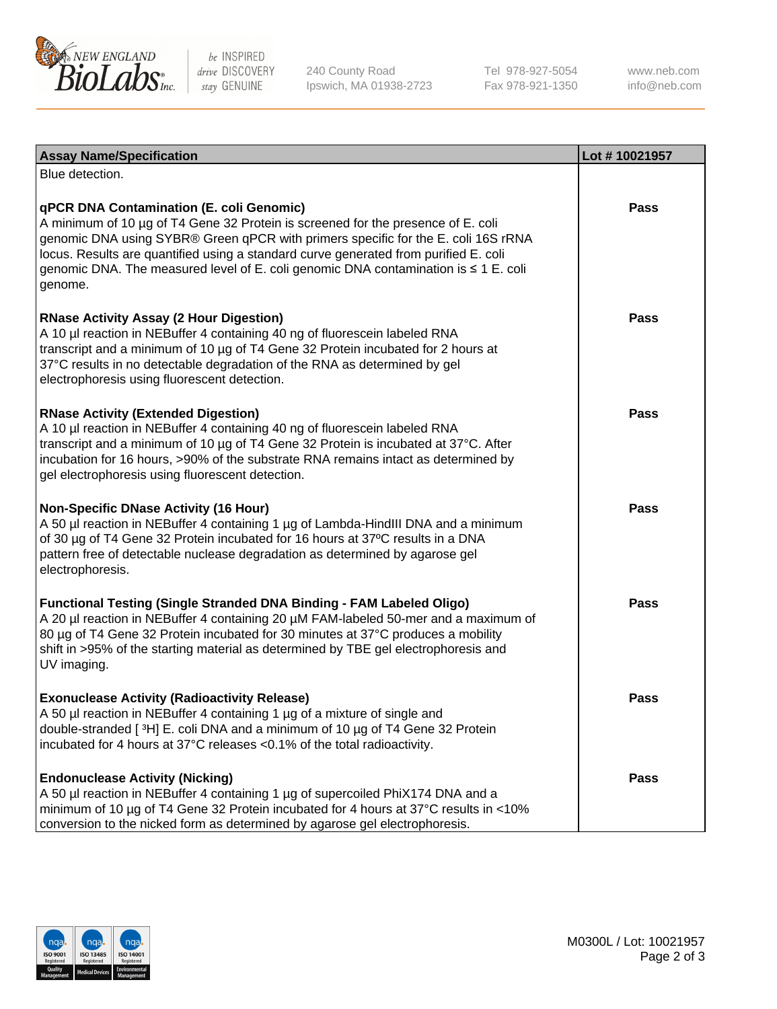

be INSPIRED drive DISCOVERY stay GENUINE

240 County Road Ipswich, MA 01938-2723 Tel 978-927-5054 Fax 978-921-1350

www.neb.com info@neb.com

| <b>Assay Name/Specification</b>                                                                                                                                                                                                                                                                                                                                                                             | Lot #10021957 |
|-------------------------------------------------------------------------------------------------------------------------------------------------------------------------------------------------------------------------------------------------------------------------------------------------------------------------------------------------------------------------------------------------------------|---------------|
| Blue detection.                                                                                                                                                                                                                                                                                                                                                                                             |               |
| qPCR DNA Contamination (E. coli Genomic)<br>A minimum of 10 µg of T4 Gene 32 Protein is screened for the presence of E. coli<br>genomic DNA using SYBR® Green qPCR with primers specific for the E. coli 16S rRNA<br>locus. Results are quantified using a standard curve generated from purified E. coli<br>genomic DNA. The measured level of E. coli genomic DNA contamination is ≤ 1 E. coli<br>genome. | <b>Pass</b>   |
| <b>RNase Activity Assay (2 Hour Digestion)</b><br>A 10 µl reaction in NEBuffer 4 containing 40 ng of fluorescein labeled RNA<br>transcript and a minimum of 10 µg of T4 Gene 32 Protein incubated for 2 hours at<br>37°C results in no detectable degradation of the RNA as determined by gel<br>electrophoresis using fluorescent detection.                                                               | Pass          |
| <b>RNase Activity (Extended Digestion)</b><br>A 10 µl reaction in NEBuffer 4 containing 40 ng of fluorescein labeled RNA<br>transcript and a minimum of 10 µg of T4 Gene 32 Protein is incubated at 37°C. After<br>incubation for 16 hours, >90% of the substrate RNA remains intact as determined by<br>gel electrophoresis using fluorescent detection.                                                   | Pass          |
| <b>Non-Specific DNase Activity (16 Hour)</b><br>A 50 µl reaction in NEBuffer 4 containing 1 µg of Lambda-HindIII DNA and a minimum<br>of 30 µg of T4 Gene 32 Protein incubated for 16 hours at 37°C results in a DNA<br>pattern free of detectable nuclease degradation as determined by agarose gel<br>electrophoresis.                                                                                    | <b>Pass</b>   |
| Functional Testing (Single Stranded DNA Binding - FAM Labeled Oligo)<br>A 20 µl reaction in NEBuffer 4 containing 20 µM FAM-labeled 50-mer and a maximum of<br>80 µg of T4 Gene 32 Protein incubated for 30 minutes at 37°C produces a mobility<br>shift in >95% of the starting material as determined by TBE gel electrophoresis and<br>UV imaging.                                                       | <b>Pass</b>   |
| <b>Exonuclease Activity (Radioactivity Release)</b><br>A 50 µl reaction in NEBuffer 4 containing 1 µg of a mixture of single and<br>double-stranded [3H] E. coli DNA and a minimum of 10 µg of T4 Gene 32 Protein<br>incubated for 4 hours at 37°C releases <0.1% of the total radioactivity.                                                                                                               | Pass          |
| <b>Endonuclease Activity (Nicking)</b><br>A 50 µl reaction in NEBuffer 4 containing 1 µg of supercoiled PhiX174 DNA and a<br>minimum of 10 µg of T4 Gene 32 Protein incubated for 4 hours at 37°C results in <10%<br>conversion to the nicked form as determined by agarose gel electrophoresis.                                                                                                            | <b>Pass</b>   |